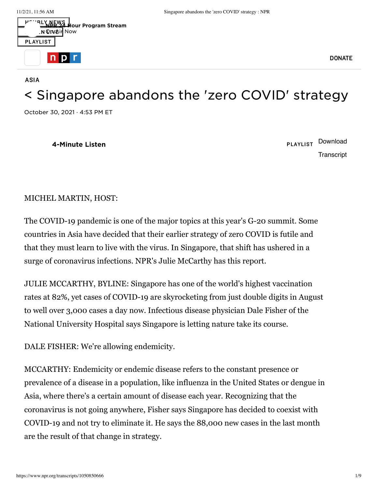[ASIA](https://www.npr.org/sections/asia/)



## < [Singapore](https://www.npr.org/2021/10/30/1050850666/singapore-abandons-the-zero-covid-strategy) abandons the 'zero COVID' strategy

October 30, 2021 · 4:53 PM ET

**4-Minute Listen** PLAYLIST [Download](https://ondemand.npr.org/anon.npr-mp3/npr/atc/2021/10/20211030_atc_singapore_abandons_zero_covid.mp3?orgId=1&topicId=1125&d=260&p=2&story=1050850666&dl=1&sc=siteplayer&size=4172113&dl=1&aw_0_1st.playerid=siteplayer) **[Transcript](https://www.npr.org/transcripts/1050850666)** 

## MICHEL MARTIN, HOST:

The COVID-19 pandemic is one of the major topics at this year's G-20 summit. Some countries in Asia have decided that their earlier strategy of zero COVID is futile and that they must learn to live with the virus. In Singapore, that shift has ushered in a surge of coronavirus infections. NPR's Julie McCarthy has this report.

JULIE MCCARTHY, BYLINE: Singapore has one of the world's highest vaccination rates at 82%, yet cases of COVID-19 are skyrocketing from just double digits in August to well over 3,000 cases a day now. Infectious disease physician Dale Fisher of the National University Hospital says Singapore is letting nature take its course.

DALE FISHER: We're allowing endemicity.

MCCARTHY: Endemicity or endemic disease refers to the constant presence or prevalence of a disease in a population, like influenza in the United States or dengue in Asia, where there's a certain amount of disease each year. Recognizing that the coronavirus is not going anywhere, Fisher says Singapore has decided to coexist with COVID-19 and not try to eliminate it. He says the 88,000 new cases in the last month are the result of that change in strategy.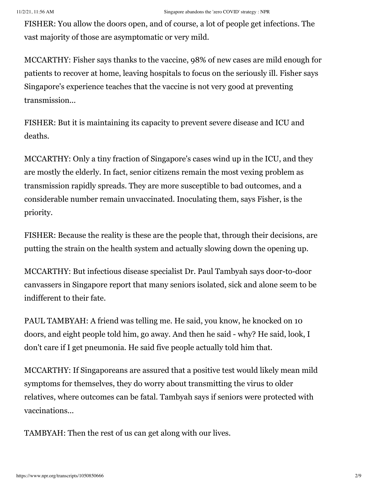FISHER: You allow the doors open, and of course, a lot of people get infections. The vast majority of those are asymptomatic or very mild.

MCCARTHY: Fisher says thanks to the vaccine, 98% of new cases are mild enough for patients to recover at home, leaving hospitals to focus on the seriously ill. Fisher says Singapore's experience teaches that the vaccine is not very good at preventing transmission...

FISHER: But it is maintaining its capacity to prevent severe disease and ICU and deaths.

MCCARTHY: Only a tiny fraction of Singapore's cases wind up in the ICU, and they are mostly the elderly. In fact, senior citizens remain the most vexing problem as transmission rapidly spreads. They are more susceptible to bad outcomes, and a considerable number remain unvaccinated. Inoculating them, says Fisher, is the priority.

FISHER: Because the reality is these are the people that, through their decisions, are putting the strain on the health system and actually slowing down the opening up.

MCCARTHY: But infectious disease specialist Dr. Paul Tambyah says door-to-door canvassers in Singapore report that many seniors isolated, sick and alone seem to be indifferent to their fate.

PAUL TAMBYAH: A friend was telling me. He said, you know, he knocked on 10 doors, and eight people told him, go away. And then he said - why? He said, look, I don't care if I get pneumonia. He said five people actually told him that.

MCCARTHY: If Singaporeans are assured that a positive test would likely mean mild symptoms for themselves, they do worry about transmitting the virus to older relatives, where outcomes can be fatal. Tambyah says if seniors were protected with vaccinations...

TAMBYAH: Then the rest of us can get along with our lives.